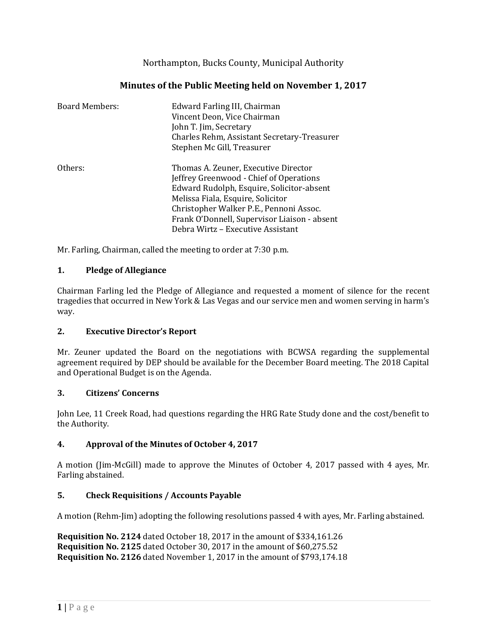Northampton, Bucks County, Municipal Authority

# **Minutes of the Public Meeting held on November 1, 2017**

| <b>Board Members:</b> | Edward Farling III, Chairman<br>Vincent Deon, Vice Chairman<br>John T. Jim, Secretary<br>Charles Rehm, Assistant Secretary-Treasurer<br>Stephen Mc Gill, Treasurer                                                                                                                                |
|-----------------------|---------------------------------------------------------------------------------------------------------------------------------------------------------------------------------------------------------------------------------------------------------------------------------------------------|
| Others:               | Thomas A. Zeuner, Executive Director<br>Jeffrey Greenwood - Chief of Operations<br>Edward Rudolph, Esquire, Solicitor-absent<br>Melissa Fiala, Esquire, Solicitor<br>Christopher Walker P.E., Pennoni Assoc.<br>Frank O'Donnell, Supervisor Liaison - absent<br>Debra Wirtz - Executive Assistant |

Mr. Farling, Chairman, called the meeting to order at 7:30 p.m.

## **1. Pledge of Allegiance**

Chairman Farling led the Pledge of Allegiance and requested a moment of silence for the recent tragedies that occurred in New York & Las Vegas and our service men and women serving in harm's way.

### **2. Executive Director's Report**

Mr. Zeuner updated the Board on the negotiations with BCWSA regarding the supplemental agreement required by DEP should be available for the December Board meeting. The 2018 Capital and Operational Budget is on the Agenda.

### **3. Citizens' Concerns**

John Lee, 11 Creek Road, had questions regarding the HRG Rate Study done and the cost/benefit to the Authority.

### **4. Approval of the Minutes of October 4, 2017**

A motion (Jim-McGill) made to approve the Minutes of October 4, 2017 passed with 4 ayes, Mr. Farling abstained.

### **5. Check Requisitions / Accounts Payable**

A motion (Rehm-Jim) adopting the following resolutions passed 4 with ayes, Mr. Farling abstained.

**Requisition No. 2124** dated October 18, 2017 in the amount of \$334,161.26 **Requisition No. 2125** dated October 30, 2017 in the amount of \$60,275.52 **Requisition No. 2126** dated November 1, 2017 in the amount of \$793,174.18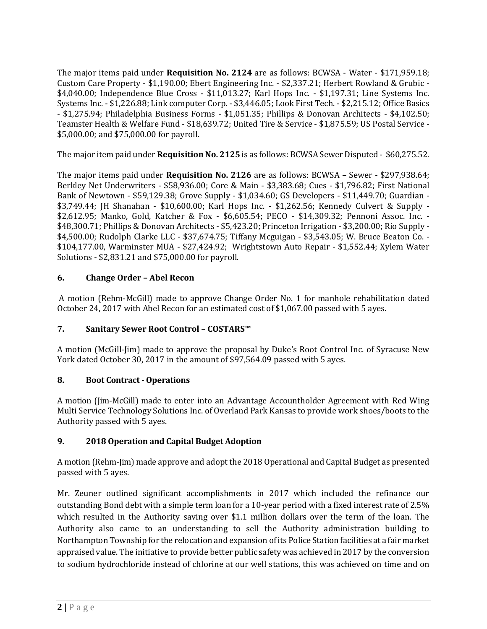The major items paid under **Requisition No. 2124** are as follows: BCWSA - Water - \$171,959.18; Custom Care Property - \$1,190.00; Ebert Engineering Inc. - \$2,337.21; Herbert Rowland & Grubic - \$4,040.00; Independence Blue Cross - \$11,013.27; Karl Hops Inc. - \$1,197.31; Line Systems Inc. Systems Inc. - \$1,226.88; Link computer Corp. - \$3,446.05; Look First Tech. - \$2,215.12; Office Basics - \$1,275.94; Philadelphia Business Forms - \$1,051.35; Phillips & Donovan Architects - \$4,102.50; Teamster Health & Welfare Fund - \$18,639.72; United Tire & Service - \$1,875.59; US Postal Service - \$5,000.00; and \$75,000.00 for payroll.

The major item paid under **Requisition No. 2125** is as follows: BCWSA Sewer Disputed - \$60,275.52.

The major items paid under **Requisition No. 2126** are as follows: BCWSA – Sewer - \$297,938.64; Berkley Net Underwriters - \$58,936.00; Core & Main - \$3,383.68; Cues - \$1,796.82; First National Bank of Newtown - \$59,129.38; Grove Supply - \$1,034.60; GS Developers - \$11,449.70; Guardian - \$3,749.44; JH Shanahan - \$10,600.00; Karl Hops Inc. - \$1,262.56; Kennedy Culvert & Supply - \$2,612.95; Manko, Gold, Katcher & Fox - \$6,605.54; PECO - \$14,309.32; Pennoni Assoc. Inc. - \$48,300.71; Phillips & Donovan Architects - \$5,423.20; Princeton Irrigation - \$3,200.00; Rio Supply - \$4,500.00; Rudolph Clarke LLC - \$37,674.75; Tiffany Mcguigan - \$3,543.05; W. Bruce Beaton Co. - \$104,177.00, Warminster MUA - \$27,424.92; Wrightstown Auto Repair - \$1,552.44; Xylem Water Solutions - \$2,831.21 and \$75,000.00 for payroll.

## **6. Change Order – Abel Recon**

A motion (Rehm-McGill) made to approve Change Order No. 1 for manhole rehabilitation dated October 24, 2017 with Abel Recon for an estimated cost of \$1,067.00 passed with 5 ayes.

### **7. Sanitary Sewer Root Control – COSTARS™**

A motion (McGill-Jim) made to approve the proposal by Duke's Root Control Inc. of Syracuse New York dated October 30, 2017 in the amount of \$97,564.09 passed with 5 ayes.

### **8. Boot Contract - Operations**

A motion (Jim-McGill) made to enter into an Advantage Accountholder Agreement with Red Wing Multi Service Technology Solutions Inc. of Overland Park Kansas to provide work shoes/boots to the Authority passed with 5 ayes.

## **9. 2018 Operation and Capital Budget Adoption**

A motion (Rehm-Jim) made approve and adopt the 2018 Operational and Capital Budget as presented passed with 5 ayes.

Mr. Zeuner outlined significant accomplishments in 2017 which included the refinance our outstanding Bond debt with a simple term loan for a 10-year period with a fixed interest rate of 2.5% which resulted in the Authority saving over \$1.1 million dollars over the term of the loan. The Authority also came to an understanding to sell the Authority administration building to Northampton Township for the relocation and expansion of its Police Station facilities at a fair market appraised value. The initiative to provide better public safety was achieved in 2017 by the conversion to sodium hydrochloride instead of chlorine at our well stations, this was achieved on time and on